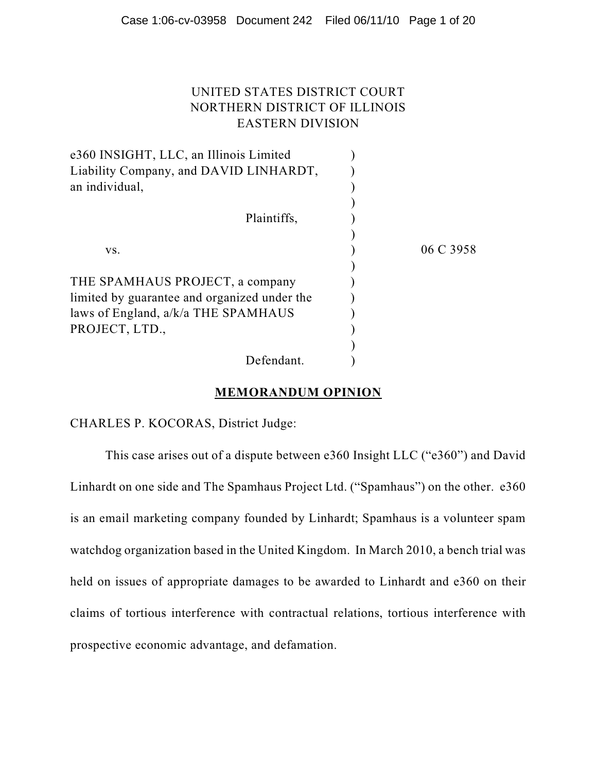# UNITED STATES DISTRICT COURT NORTHERN DISTRICT OF ILLINOIS EASTERN DIVISION

| e360 INSIGHT, LLC, an Illinois Limited<br>Liability Company, and DAVID LINHARDT, |           |
|----------------------------------------------------------------------------------|-----------|
| an individual,                                                                   |           |
|                                                                                  |           |
| Plaintiffs,                                                                      |           |
|                                                                                  |           |
| VS.                                                                              | 06 C 3958 |
|                                                                                  |           |
| THE SPAMHAUS PROJECT, a company                                                  |           |
| limited by guarantee and organized under the                                     |           |
| laws of England, a/k/a THE SPAMHAUS                                              |           |
| PROJECT, LTD.,                                                                   |           |
|                                                                                  |           |
| Defendant.                                                                       |           |

# **MEMORANDUM OPINION**

CHARLES P. KOCORAS, District Judge:

This case arises out of a dispute between e360 Insight LLC ("e360") and David Linhardt on one side and The Spamhaus Project Ltd. ("Spamhaus") on the other. e360 is an email marketing company founded by Linhardt; Spamhaus is a volunteer spam watchdog organization based in the United Kingdom. In March 2010, a bench trial was held on issues of appropriate damages to be awarded to Linhardt and e360 on their claims of tortious interference with contractual relations, tortious interference with prospective economic advantage, and defamation.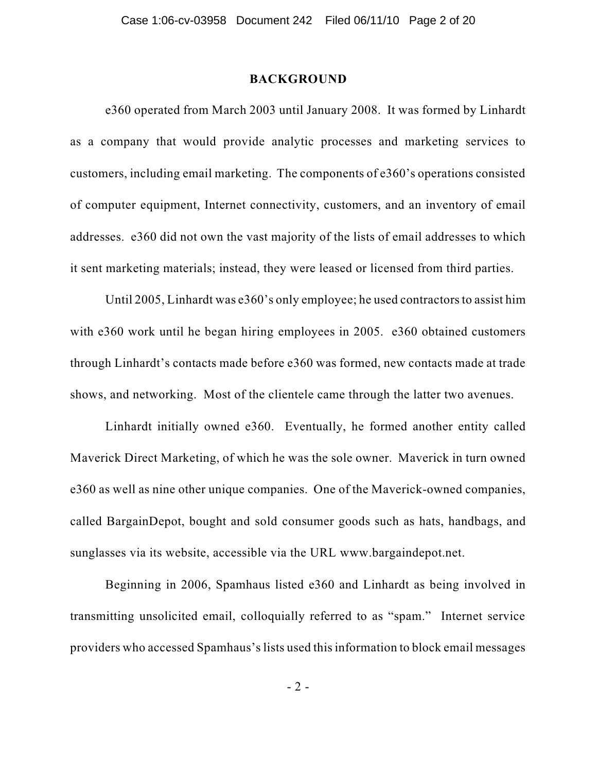# **BACKGROUND**

e360 operated from March 2003 until January 2008. It was formed by Linhardt as a company that would provide analytic processes and marketing services to customers, including email marketing. The components of e360's operations consisted of computer equipment, Internet connectivity, customers, and an inventory of email addresses. e360 did not own the vast majority of the lists of email addresses to which it sent marketing materials; instead, they were leased or licensed from third parties.

Until 2005, Linhardt was e360's only employee; he used contractors to assist him with e360 work until he began hiring employees in 2005. e360 obtained customers through Linhardt's contacts made before e360 was formed, new contacts made at trade shows, and networking. Most of the clientele came through the latter two avenues.

Linhardt initially owned e360. Eventually, he formed another entity called Maverick Direct Marketing, of which he was the sole owner. Maverick in turn owned e360 as well as nine other unique companies. One of the Maverick-owned companies, called BargainDepot, bought and sold consumer goods such as hats, handbags, and sunglasses via its website, accessible via the URL www.bargaindepot.net.

Beginning in 2006, Spamhaus listed e360 and Linhardt as being involved in transmitting unsolicited email, colloquially referred to as "spam." Internet service providers who accessed Spamhaus'slists used thisinformation to block email messages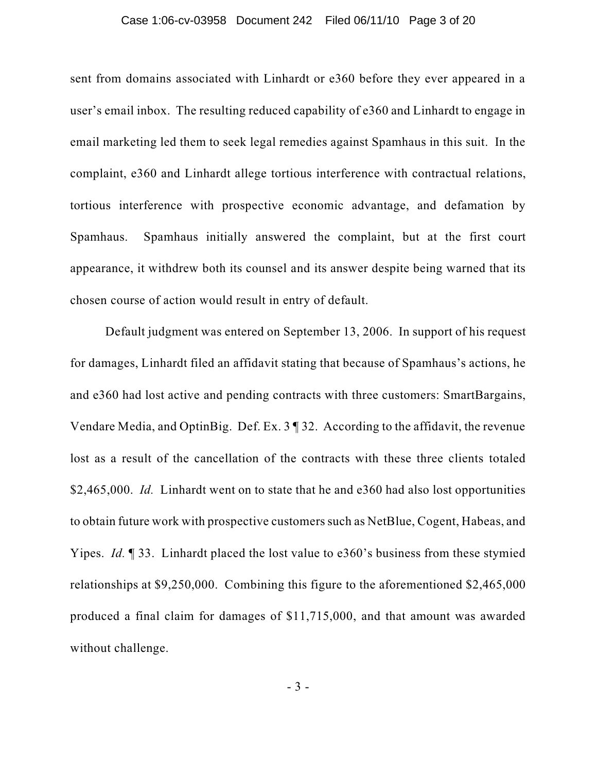#### Case 1:06-cv-03958 Document 242 Filed 06/11/10 Page 3 of 20

sent from domains associated with Linhardt or e360 before they ever appeared in a user's email inbox. The resulting reduced capability of e360 and Linhardt to engage in email marketing led them to seek legal remedies against Spamhaus in this suit. In the complaint, e360 and Linhardt allege tortious interference with contractual relations, tortious interference with prospective economic advantage, and defamation by Spamhaus. Spamhaus initially answered the complaint, but at the first court appearance, it withdrew both its counsel and its answer despite being warned that its chosen course of action would result in entry of default.

Default judgment was entered on September 13, 2006. In support of his request for damages, Linhardt filed an affidavit stating that because of Spamhaus's actions, he and e360 had lost active and pending contracts with three customers: SmartBargains, Vendare Media, and OptinBig. Def. Ex. 3 ¶ 32. According to the affidavit, the revenue lost as a result of the cancellation of the contracts with these three clients totaled \$2,465,000. *Id.* Linhardt went on to state that he and e360 had also lost opportunities to obtain future work with prospective customers such as NetBlue, Cogent, Habeas, and Yipes. *Id.* ¶ 33. Linhardt placed the lost value to e360's business from these stymied relationships at \$9,250,000. Combining this figure to the aforementioned \$2,465,000 produced a final claim for damages of \$11,715,000, and that amount was awarded without challenge.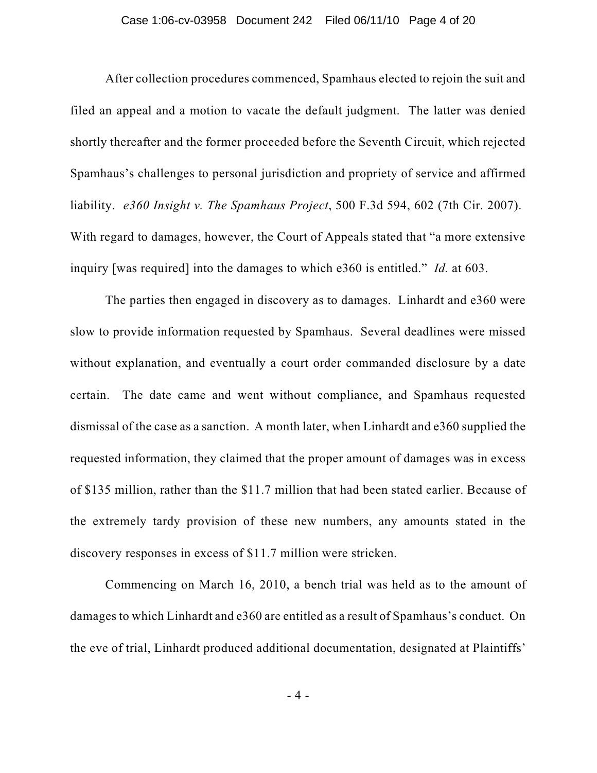#### Case 1:06-cv-03958 Document 242 Filed 06/11/10 Page 4 of 20

After collection procedures commenced, Spamhaus elected to rejoin the suit and filed an appeal and a motion to vacate the default judgment. The latter was denied shortly thereafter and the former proceeded before the Seventh Circuit, which rejected Spamhaus's challenges to personal jurisdiction and propriety of service and affirmed liability. *e360 Insight v. The Spamhaus Project*, 500 F.3d 594, 602 (7th Cir. 2007). With regard to damages, however, the Court of Appeals stated that "a more extensive inquiry [was required] into the damages to which e360 is entitled." *Id.* at 603.

The parties then engaged in discovery as to damages. Linhardt and e360 were slow to provide information requested by Spamhaus. Several deadlines were missed without explanation, and eventually a court order commanded disclosure by a date certain. The date came and went without compliance, and Spamhaus requested dismissal of the case as a sanction. A month later, when Linhardt and e360 supplied the requested information, they claimed that the proper amount of damages was in excess of \$135 million, rather than the \$11.7 million that had been stated earlier. Because of the extremely tardy provision of these new numbers, any amounts stated in the discovery responses in excess of \$11.7 million were stricken.

Commencing on March 16, 2010, a bench trial was held as to the amount of damages to which Linhardt and e360 are entitled as a result of Spamhaus's conduct. On the eve of trial, Linhardt produced additional documentation, designated at Plaintiffs'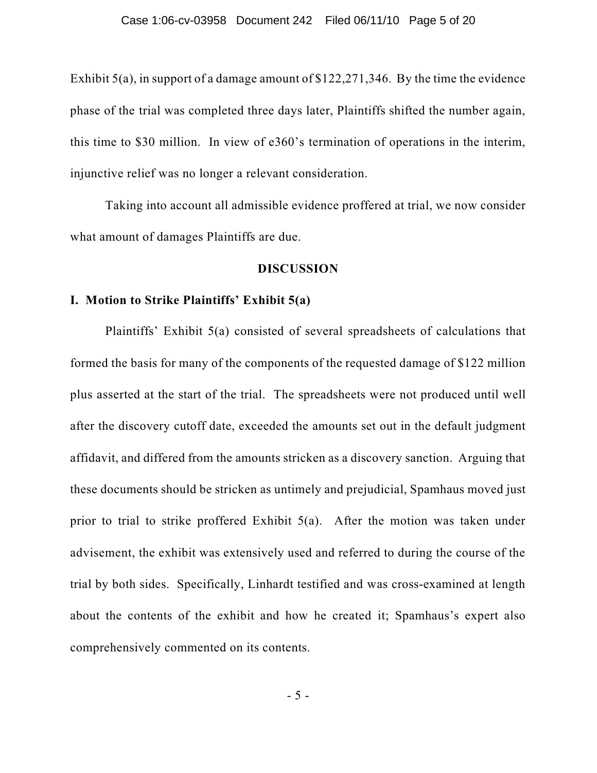Exhibit 5(a), in support of a damage amount of \$122,271,346. By the time the evidence phase of the trial was completed three days later, Plaintiffs shifted the number again, this time to \$30 million. In view of e360's termination of operations in the interim, injunctive relief was no longer a relevant consideration.

Taking into account all admissible evidence proffered at trial, we now consider what amount of damages Plaintiffs are due.

# **DISCUSSION**

### **I. Motion to Strike Plaintiffs' Exhibit 5(a)**

Plaintiffs' Exhibit 5(a) consisted of several spreadsheets of calculations that formed the basis for many of the components of the requested damage of \$122 million plus asserted at the start of the trial. The spreadsheets were not produced until well after the discovery cutoff date, exceeded the amounts set out in the default judgment affidavit, and differed from the amounts stricken as a discovery sanction. Arguing that these documents should be stricken as untimely and prejudicial, Spamhaus moved just prior to trial to strike proffered Exhibit 5(a). After the motion was taken under advisement, the exhibit was extensively used and referred to during the course of the trial by both sides. Specifically, Linhardt testified and was cross-examined at length about the contents of the exhibit and how he created it; Spamhaus's expert also comprehensively commented on its contents.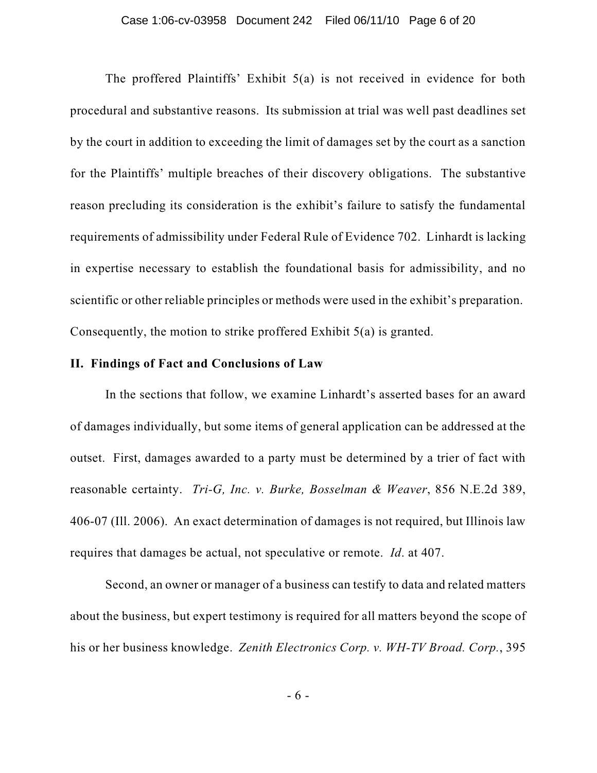The proffered Plaintiffs' Exhibit 5(a) is not received in evidence for both procedural and substantive reasons. Its submission at trial was well past deadlines set by the court in addition to exceeding the limit of damages set by the court as a sanction for the Plaintiffs' multiple breaches of their discovery obligations. The substantive reason precluding its consideration is the exhibit's failure to satisfy the fundamental requirements of admissibility under Federal Rule of Evidence 702. Linhardt is lacking in expertise necessary to establish the foundational basis for admissibility, and no scientific or other reliable principles or methods were used in the exhibit's preparation. Consequently, the motion to strike proffered Exhibit 5(a) is granted.

# **II. Findings of Fact and Conclusions of Law**

In the sections that follow, we examine Linhardt's asserted bases for an award of damages individually, but some items of general application can be addressed at the outset. First, damages awarded to a party must be determined by a trier of fact with reasonable certainty. *Tri-G, Inc. v. Burke, Bosselman & Weaver*, 856 N.E.2d 389, 406-07 (Ill. 2006). An exact determination of damages is not required, but Illinois law requires that damages be actual, not speculative or remote. *Id*. at 407.

Second, an owner or manager of a business can testify to data and related matters about the business, but expert testimony is required for all matters beyond the scope of his or her business knowledge. *Zenith Electronics Corp. v. WH-TV Broad. Corp.*, 395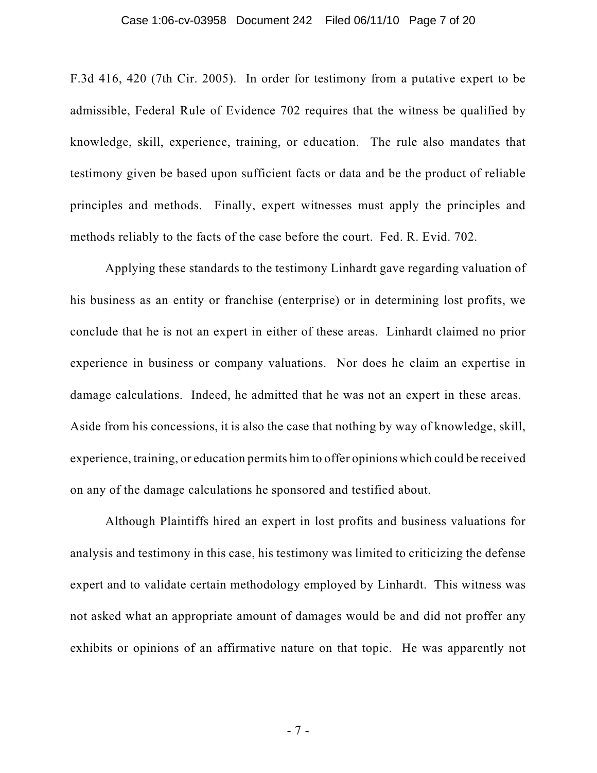#### Case 1:06-cv-03958 Document 242 Filed 06/11/10 Page 7 of 20

F.3d 416, 420 (7th Cir. 2005). In order for testimony from a putative expert to be admissible, Federal Rule of Evidence 702 requires that the witness be qualified by knowledge, skill, experience, training, or education. The rule also mandates that testimony given be based upon sufficient facts or data and be the product of reliable principles and methods. Finally, expert witnesses must apply the principles and methods reliably to the facts of the case before the court. Fed. R. Evid. 702.

Applying these standards to the testimony Linhardt gave regarding valuation of his business as an entity or franchise (enterprise) or in determining lost profits, we conclude that he is not an expert in either of these areas. Linhardt claimed no prior experience in business or company valuations. Nor does he claim an expertise in damage calculations. Indeed, he admitted that he was not an expert in these areas. Aside from his concessions, it is also the case that nothing by way of knowledge, skill, experience, training, or education permits him to offer opinions which could be received on any of the damage calculations he sponsored and testified about.

Although Plaintiffs hired an expert in lost profits and business valuations for analysis and testimony in this case, his testimony was limited to criticizing the defense expert and to validate certain methodology employed by Linhardt. This witness was not asked what an appropriate amount of damages would be and did not proffer any exhibits or opinions of an affirmative nature on that topic. He was apparently not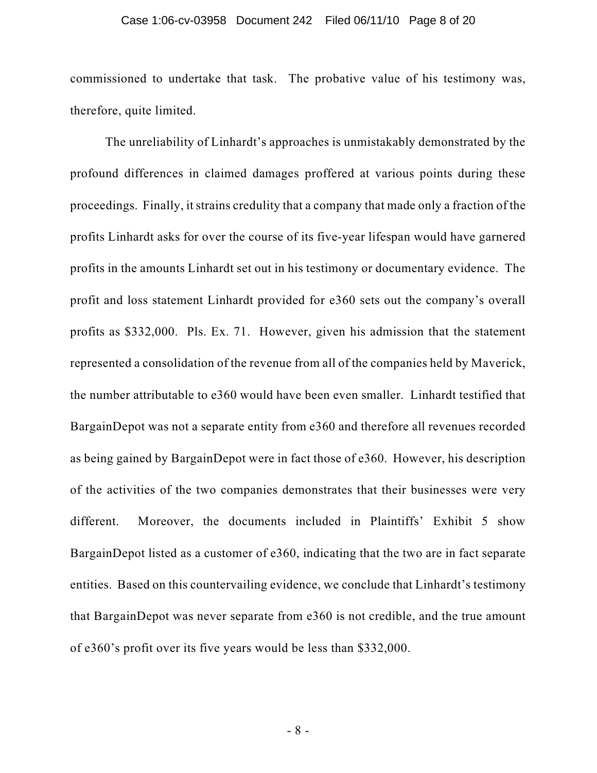#### Case 1:06-cv-03958 Document 242 Filed 06/11/10 Page 8 of 20

commissioned to undertake that task. The probative value of his testimony was, therefore, quite limited.

The unreliability of Linhardt's approaches is unmistakably demonstrated by the profound differences in claimed damages proffered at various points during these proceedings. Finally, itstrains credulity that a company that made only a fraction of the profits Linhardt asks for over the course of its five-year lifespan would have garnered profits in the amounts Linhardt set out in his testimony or documentary evidence. The profit and loss statement Linhardt provided for e360 sets out the company's overall profits as \$332,000. Pls. Ex. 71. However, given his admission that the statement represented a consolidation of the revenue from all of the companies held by Maverick, the number attributable to e360 would have been even smaller. Linhardt testified that BargainDepot was not a separate entity from e360 and therefore all revenues recorded as being gained by BargainDepot were in fact those of e360. However, his description of the activities of the two companies demonstrates that their businesses were very different. Moreover, the documents included in Plaintiffs' Exhibit 5 show BargainDepot listed as a customer of e360, indicating that the two are in fact separate entities. Based on this countervailing evidence, we conclude that Linhardt's testimony that BargainDepot was never separate from e360 is not credible, and the true amount of e360's profit over its five years would be less than \$332,000.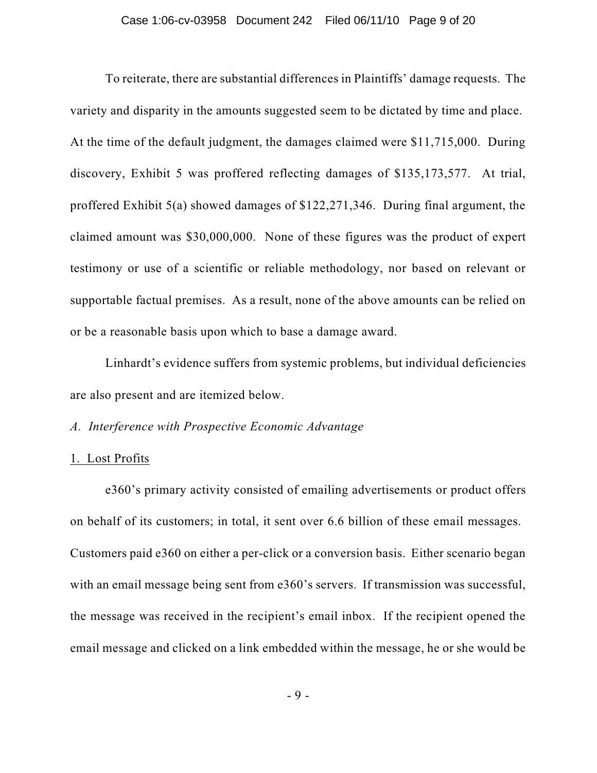#### Case 1:06-cv-03958 Document 242 Filed 06/11/10 Page 9 of 20

To reiterate, there are substantial differences in Plaintiffs' damage requests. The variety and disparity in the amounts suggested seem to be dictated by time and place. At the time of the default judgment, the damages claimed were \$11,715,000. During discovery, Exhibit 5 was proffered reflecting damages of \$135,173,577. At trial, proffered Exhibit 5(a) showed damages of \$122,271,346. During final argument, the claimed amount was \$30,000,000. None of these figures was the product of expert testimony or use of a scientific or reliable methodology, nor based on relevant or supportable factual premises. As a result, none of the above amounts can be relied on or be a reasonable basis upon which to base a damage award.

Linhardt's evidence suffers from systemic problems, but individual deficiencies are also present and are itemized below.

# *A. Interference with Prospective Economic Advantage*

## 1. Lost Profits

e360's primary activity consisted of emailing advertisements or product offers on behalf of its customers; in total, it sent over 6.6 billion of these email messages. Customers paid e360 on either a per-click or a conversion basis. Either scenario began with an email message being sent from e360's servers. If transmission was successful, the message was received in the recipient's email inbox. If the recipient opened the email message and clicked on a link embedded within the message, he or she would be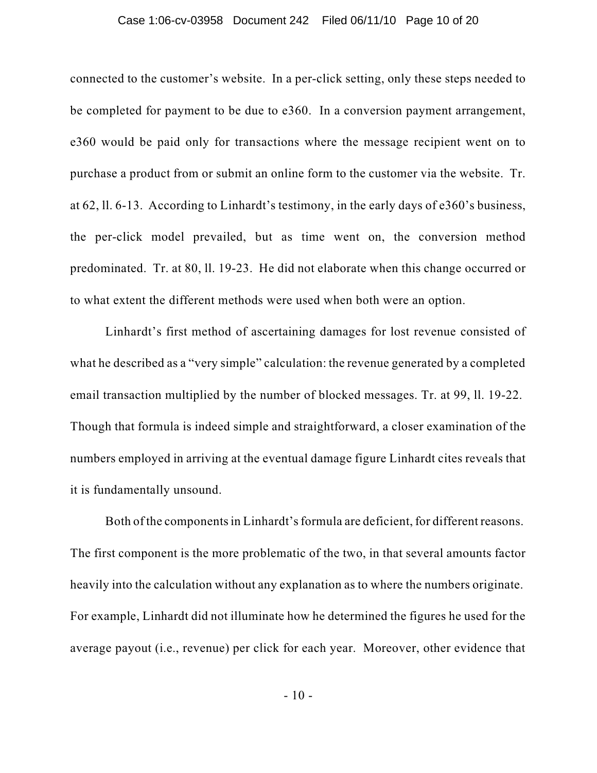#### Case 1:06-cv-03958 Document 242 Filed 06/11/10 Page 10 of 20

connected to the customer's website. In a per-click setting, only these steps needed to be completed for payment to be due to e360. In a conversion payment arrangement, e360 would be paid only for transactions where the message recipient went on to purchase a product from or submit an online form to the customer via the website. Tr. at 62, ll. 6-13. According to Linhardt's testimony, in the early days of e360's business, the per-click model prevailed, but as time went on, the conversion method predominated. Tr. at 80, ll. 19-23. He did not elaborate when this change occurred or to what extent the different methods were used when both were an option.

Linhardt's first method of ascertaining damages for lost revenue consisted of what he described as a "very simple" calculation: the revenue generated by a completed email transaction multiplied by the number of blocked messages. Tr. at 99, ll. 19-22. Though that formula is indeed simple and straightforward, a closer examination of the numbers employed in arriving at the eventual damage figure Linhardt cites reveals that it is fundamentally unsound.

Both of the components in Linhardt's formula are deficient, for different reasons. The first component is the more problematic of the two, in that several amounts factor heavily into the calculation without any explanation as to where the numbers originate. For example, Linhardt did not illuminate how he determined the figures he used for the average payout (i.e., revenue) per click for each year. Moreover, other evidence that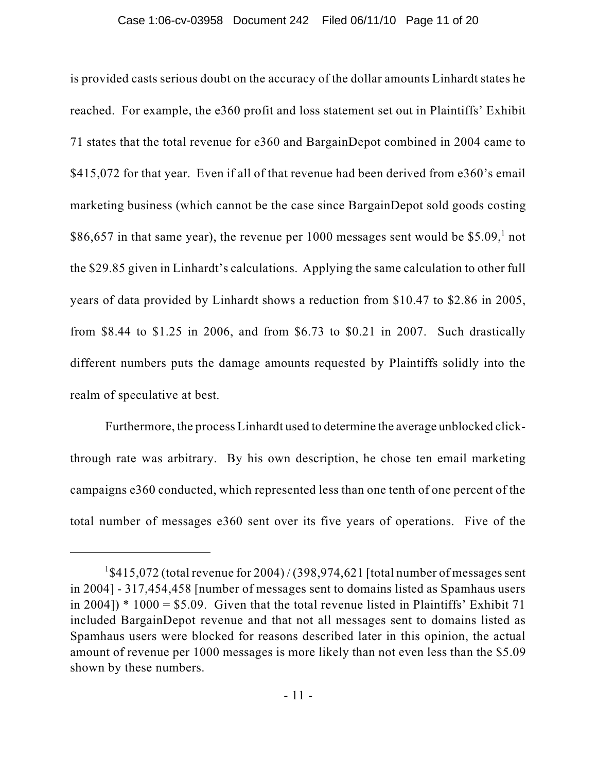is provided casts serious doubt on the accuracy of the dollar amounts Linhardt states he reached. For example, the e360 profit and loss statement set out in Plaintiffs' Exhibit 71 states that the total revenue for e360 and BargainDepot combined in 2004 came to \$415,072 for that year. Even if all of that revenue had been derived from e360's email marketing business (which cannot be the case since BargainDepot sold goods costing \$86,657 in that same year), the revenue per 1000 messages sent would be  $$5.09$ , not the \$29.85 given in Linhardt's calculations. Applying the same calculation to other full years of data provided by Linhardt shows a reduction from \$10.47 to \$2.86 in 2005, from \$8.44 to \$1.25 in 2006, and from \$6.73 to \$0.21 in 2007. Such drastically different numbers puts the damage amounts requested by Plaintiffs solidly into the realm of speculative at best.

Furthermore, the process Linhardt used to determine the average unblocked clickthrough rate was arbitrary. By his own description, he chose ten email marketing campaigns e360 conducted, which represented less than one tenth of one percent of the total number of messages e360 sent over its five years of operations. Five of the

 $1$ \$415,072 (total revenue for 2004) / (398,974,621 [total number of messages sent in 2004] - 317,454,458 [number of messages sent to domains listed as Spamhaus users in 2004])  $*$  1000 = \$5.09. Given that the total revenue listed in Plaintiffs' Exhibit 71 included BargainDepot revenue and that not all messages sent to domains listed as Spamhaus users were blocked for reasons described later in this opinion, the actual amount of revenue per 1000 messages is more likely than not even less than the \$5.09 shown by these numbers.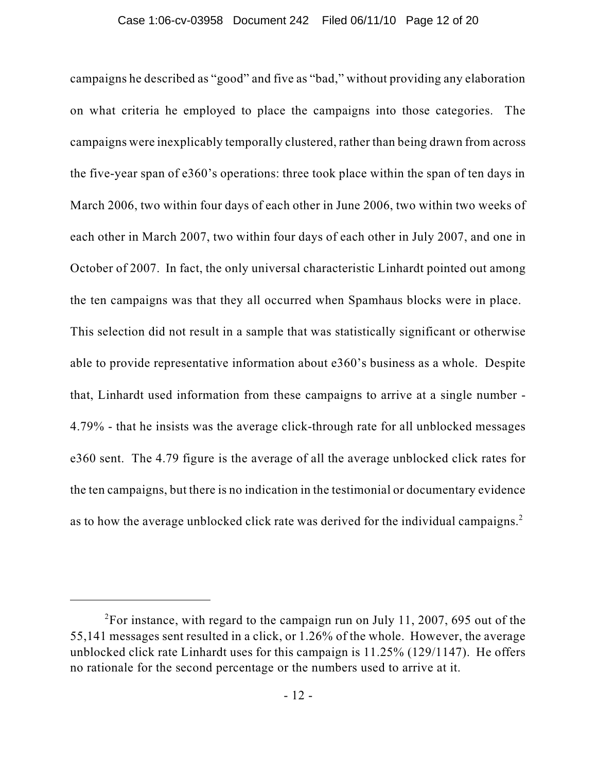campaigns he described as "good" and five as "bad," without providing any elaboration on what criteria he employed to place the campaigns into those categories. The campaigns were inexplicably temporally clustered, rather than being drawn from across the five-year span of e360's operations: three took place within the span of ten days in March 2006, two within four days of each other in June 2006, two within two weeks of each other in March 2007, two within four days of each other in July 2007, and one in October of 2007. In fact, the only universal characteristic Linhardt pointed out among the ten campaigns was that they all occurred when Spamhaus blocks were in place. This selection did not result in a sample that was statistically significant or otherwise able to provide representative information about e360's business as a whole. Despite that, Linhardt used information from these campaigns to arrive at a single number - 4.79% - that he insists was the average click-through rate for all unblocked messages e360 sent. The 4.79 figure is the average of all the average unblocked click rates for the ten campaigns, but there is no indication in the testimonial or documentary evidence as to how the average unblocked click rate was derived for the individual campaigns. $^2$ 

 $2^2$ For instance, with regard to the campaign run on July 11, 2007, 695 out of the 55,141 messages sent resulted in a click, or 1.26% of the whole. However, the average unblocked click rate Linhardt uses for this campaign is 11.25% (129/1147). He offers no rationale for the second percentage or the numbers used to arrive at it.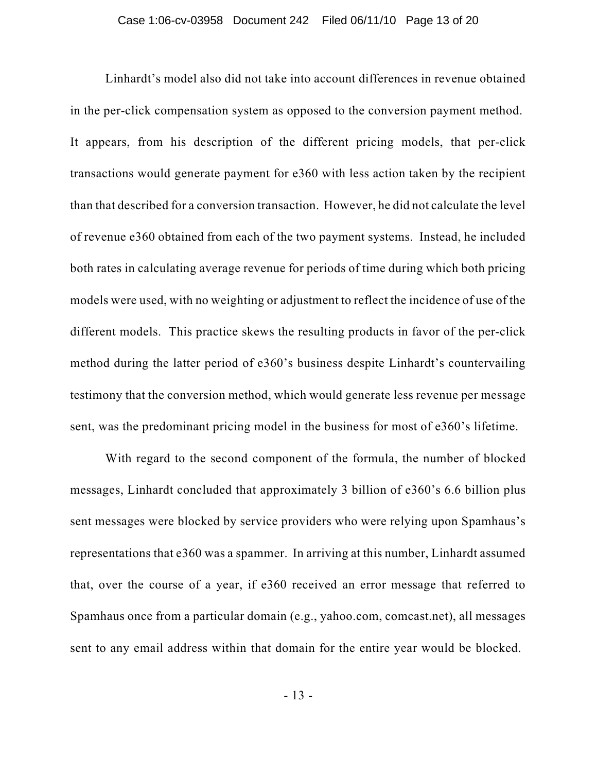Linhardt's model also did not take into account differences in revenue obtained in the per-click compensation system as opposed to the conversion payment method. It appears, from his description of the different pricing models, that per-click transactions would generate payment for e360 with less action taken by the recipient than that described for a conversion transaction. However, he did not calculate the level of revenue e360 obtained from each of the two payment systems. Instead, he included both rates in calculating average revenue for periods of time during which both pricing models were used, with no weighting or adjustment to reflect the incidence of use of the different models. This practice skews the resulting products in favor of the per-click method during the latter period of e360's business despite Linhardt's countervailing testimony that the conversion method, which would generate less revenue per message sent, was the predominant pricing model in the business for most of e360's lifetime.

With regard to the second component of the formula, the number of blocked messages, Linhardt concluded that approximately 3 billion of e360's 6.6 billion plus sent messages were blocked by service providers who were relying upon Spamhaus's representations that e360 was a spammer. In arriving at this number, Linhardt assumed that, over the course of a year, if e360 received an error message that referred to Spamhaus once from a particular domain (e.g., yahoo.com, comcast.net), all messages sent to any email address within that domain for the entire year would be blocked.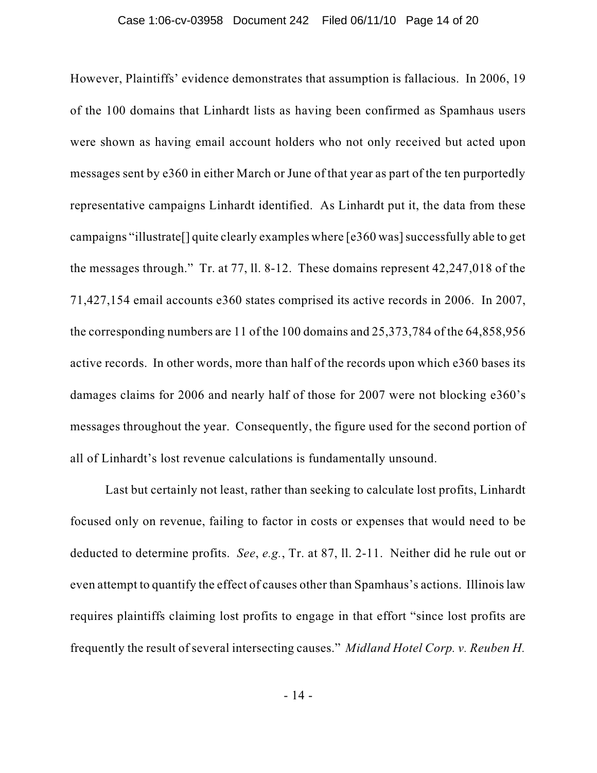However, Plaintiffs' evidence demonstrates that assumption is fallacious. In 2006, 19 of the 100 domains that Linhardt lists as having been confirmed as Spamhaus users were shown as having email account holders who not only received but acted upon messages sent by e360 in either March or June of that year as part of the ten purportedly representative campaigns Linhardt identified. As Linhardt put it, the data from these campaigns "illustrate<sup>[]</sup> quite clearly examples where [e360 was] successfully able to get the messages through." Tr. at 77, ll. 8-12. These domains represent 42,247,018 of the 71,427,154 email accounts e360 states comprised its active records in 2006. In 2007, the corresponding numbers are 11 of the 100 domains and 25,373,784 of the 64,858,956 active records. In other words, more than half of the records upon which e360 bases its damages claims for 2006 and nearly half of those for 2007 were not blocking e360's messages throughout the year. Consequently, the figure used for the second portion of all of Linhardt's lost revenue calculations is fundamentally unsound.

Last but certainly not least, rather than seeking to calculate lost profits, Linhardt focused only on revenue, failing to factor in costs or expenses that would need to be deducted to determine profits. *See*, *e.g.*, Tr. at 87, ll. 2-11. Neither did he rule out or even attempt to quantify the effect of causes other than Spamhaus's actions. Illinoislaw requires plaintiffs claiming lost profits to engage in that effort "since lost profits are frequently the result of several intersecting causes." *Midland Hotel Corp. v. Reuben H.*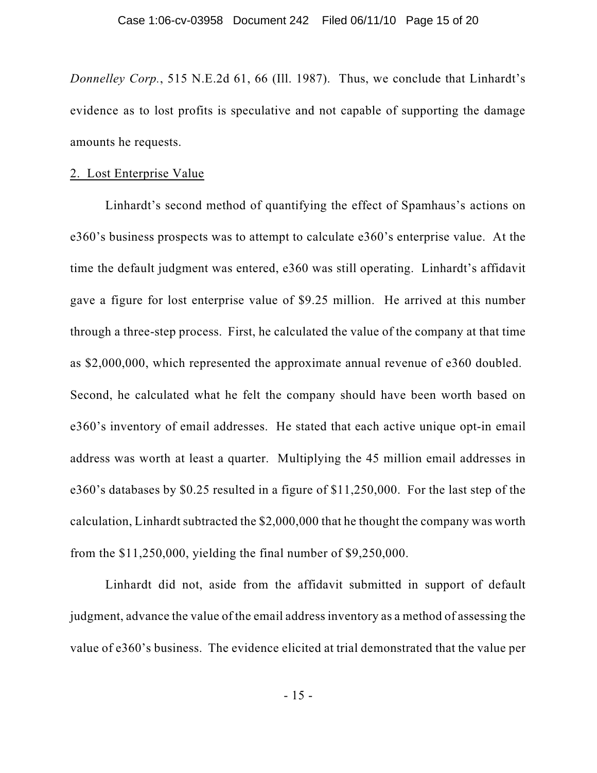*Donnelley Corp.*, 515 N.E.2d 61, 66 (Ill. 1987). Thus, we conclude that Linhardt's evidence as to lost profits is speculative and not capable of supporting the damage amounts he requests.

## 2. Lost Enterprise Value

Linhardt's second method of quantifying the effect of Spamhaus's actions on e360's business prospects was to attempt to calculate e360's enterprise value. At the time the default judgment was entered, e360 was still operating. Linhardt's affidavit gave a figure for lost enterprise value of \$9.25 million. He arrived at this number through a three-step process. First, he calculated the value of the company at that time as \$2,000,000, which represented the approximate annual revenue of e360 doubled. Second, he calculated what he felt the company should have been worth based on e360's inventory of email addresses. He stated that each active unique opt-in email address was worth at least a quarter. Multiplying the 45 million email addresses in e360's databases by \$0.25 resulted in a figure of \$11,250,000. For the last step of the calculation, Linhardt subtracted the \$2,000,000 that he thought the company was worth from the \$11,250,000, yielding the final number of \$9,250,000.

Linhardt did not, aside from the affidavit submitted in support of default judgment, advance the value of the email addressinventory as a method of assessing the value of e360's business. The evidence elicited at trial demonstrated that the value per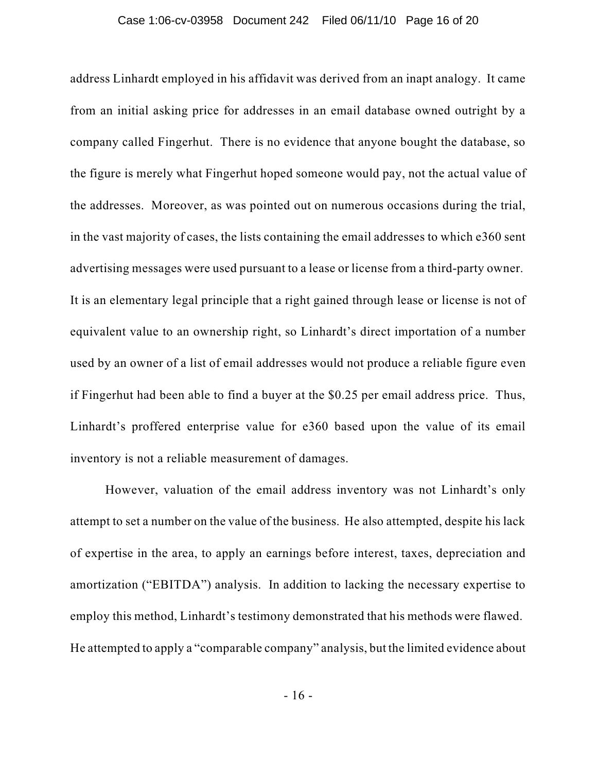address Linhardt employed in his affidavit was derived from an inapt analogy. It came from an initial asking price for addresses in an email database owned outright by a company called Fingerhut. There is no evidence that anyone bought the database, so the figure is merely what Fingerhut hoped someone would pay, not the actual value of the addresses. Moreover, as was pointed out on numerous occasions during the trial, in the vast majority of cases, the lists containing the email addresses to which e360 sent advertising messages were used pursuant to a lease or license from a third-party owner. It is an elementary legal principle that a right gained through lease or license is not of equivalent value to an ownership right, so Linhardt's direct importation of a number used by an owner of a list of email addresses would not produce a reliable figure even if Fingerhut had been able to find a buyer at the \$0.25 per email address price. Thus, Linhardt's proffered enterprise value for e360 based upon the value of its email inventory is not a reliable measurement of damages.

However, valuation of the email address inventory was not Linhardt's only attempt to set a number on the value of the business. He also attempted, despite his lack of expertise in the area, to apply an earnings before interest, taxes, depreciation and amortization ("EBITDA") analysis. In addition to lacking the necessary expertise to employ this method, Linhardt's testimony demonstrated that his methods were flawed. He attempted to apply a "comparable company" analysis, but the limited evidence about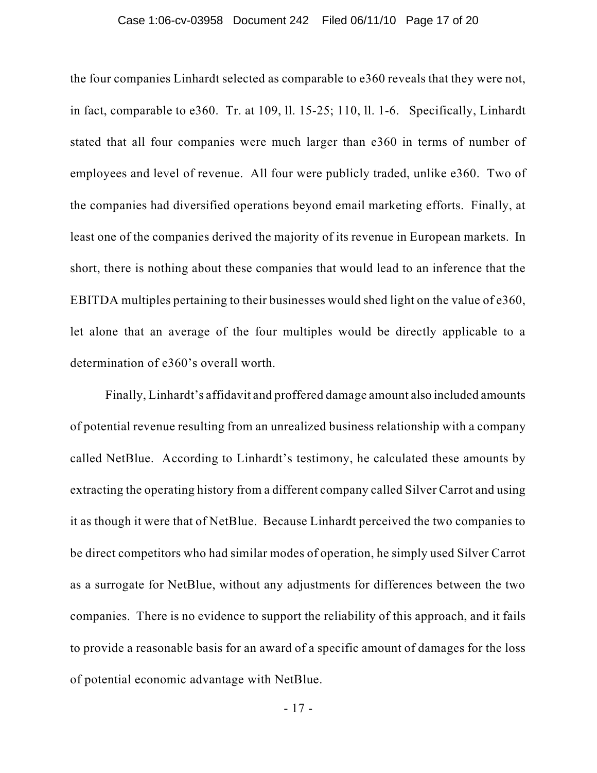#### Case 1:06-cv-03958 Document 242 Filed 06/11/10 Page 17 of 20

the four companies Linhardt selected as comparable to e360 reveals that they were not, in fact, comparable to e360. Tr. at 109, ll. 15-25; 110, ll. 1-6. Specifically, Linhardt stated that all four companies were much larger than e360 in terms of number of employees and level of revenue. All four were publicly traded, unlike e360. Two of the companies had diversified operations beyond email marketing efforts. Finally, at least one of the companies derived the majority of its revenue in European markets. In short, there is nothing about these companies that would lead to an inference that the EBITDA multiples pertaining to their businesses would shed light on the value of e360, let alone that an average of the four multiples would be directly applicable to a determination of e360's overall worth.

Finally, Linhardt's affidavit and proffered damage amount also included amounts of potential revenue resulting from an unrealized business relationship with a company called NetBlue. According to Linhardt's testimony, he calculated these amounts by extracting the operating history from a different company called Silver Carrot and using it as though it were that of NetBlue. Because Linhardt perceived the two companies to be direct competitors who had similar modes of operation, he simply used Silver Carrot as a surrogate for NetBlue, without any adjustments for differences between the two companies. There is no evidence to support the reliability of this approach, and it fails to provide a reasonable basis for an award of a specific amount of damages for the loss of potential economic advantage with NetBlue.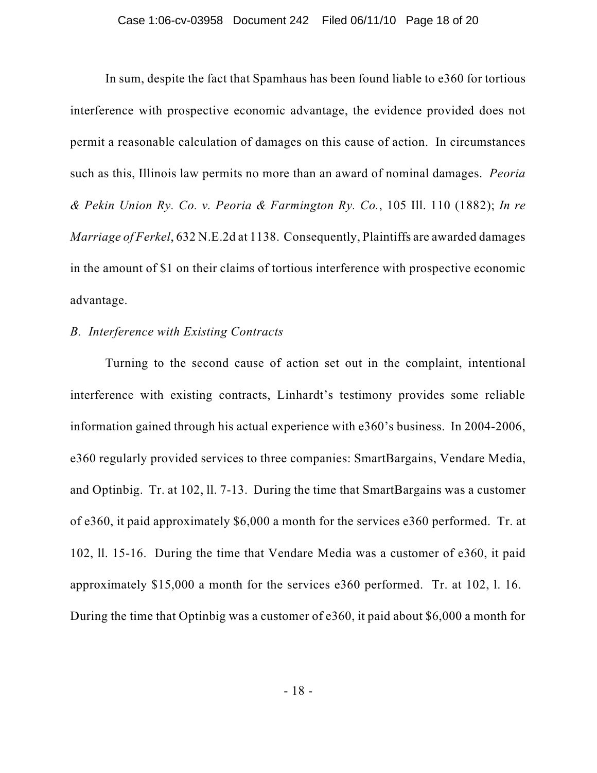In sum, despite the fact that Spamhaus has been found liable to e360 for tortious interference with prospective economic advantage, the evidence provided does not permit a reasonable calculation of damages on this cause of action. In circumstances such as this, Illinois law permits no more than an award of nominal damages. *Peoria & Pekin Union Ry. Co. v. Peoria & Farmington Ry. Co.*, 105 Ill. 110 (1882); *In re Marriage of Ferkel*, 632 N.E.2d at 1138. Consequently, Plaintiffs are awarded damages in the amount of \$1 on their claims of tortious interference with prospective economic advantage.

# *B. Interference with Existing Contracts*

Turning to the second cause of action set out in the complaint, intentional interference with existing contracts, Linhardt's testimony provides some reliable information gained through his actual experience with e360's business. In 2004-2006, e360 regularly provided services to three companies: SmartBargains, Vendare Media, and Optinbig. Tr. at 102, ll. 7-13. During the time that SmartBargains was a customer of e360, it paid approximately \$6,000 a month for the services e360 performed. Tr. at 102, ll. 15-16. During the time that Vendare Media was a customer of e360, it paid approximately \$15,000 a month for the services e360 performed. Tr. at 102, l. 16. During the time that Optinbig was a customer of e360, it paid about \$6,000 a month for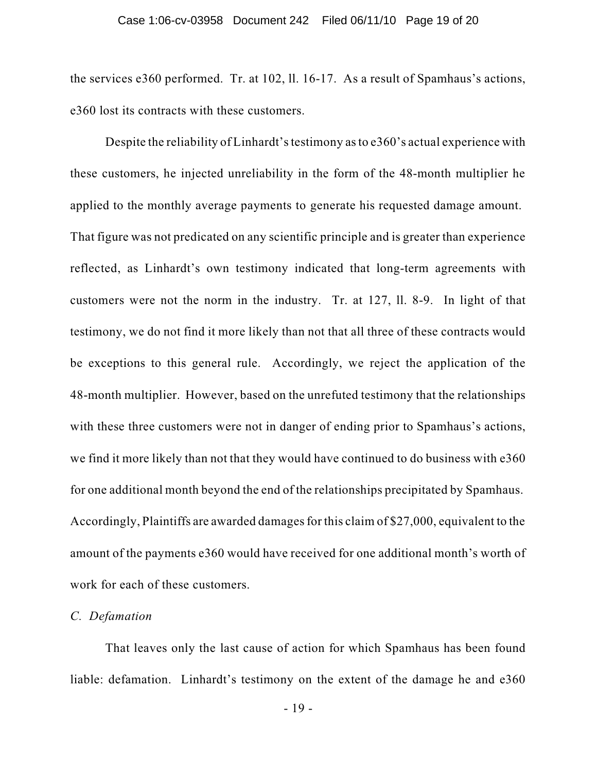the services e360 performed. Tr. at 102, ll. 16-17. As a result of Spamhaus's actions, e360 lost its contracts with these customers.

Despite the reliability of Linhardt's testimony as to e360's actual experience with these customers, he injected unreliability in the form of the 48-month multiplier he applied to the monthly average payments to generate his requested damage amount. That figure was not predicated on any scientific principle and is greater than experience reflected, as Linhardt's own testimony indicated that long-term agreements with customers were not the norm in the industry. Tr. at 127, ll. 8-9. In light of that testimony, we do not find it more likely than not that all three of these contracts would be exceptions to this general rule. Accordingly, we reject the application of the 48-month multiplier. However, based on the unrefuted testimony that the relationships with these three customers were not in danger of ending prior to Spamhaus's actions, we find it more likely than not that they would have continued to do business with e360 for one additional month beyond the end of the relationships precipitated by Spamhaus. Accordingly, Plaintiffs are awarded damages for this claim of \$27,000, equivalent to the amount of the payments e360 would have received for one additional month's worth of work for each of these customers.

## *C. Defamation*

That leaves only the last cause of action for which Spamhaus has been found liable: defamation. Linhardt's testimony on the extent of the damage he and e360